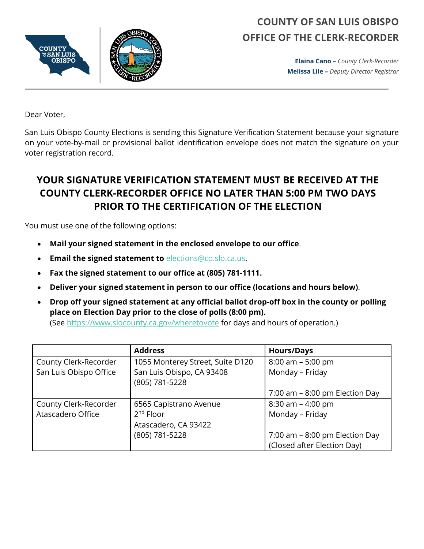

## **COUNTY OF SAN LUIS OBISPO OFFICE OF THE CLERK-RECORDER**

**Elaina Cano –** *County Clerk-Recorder* **Melissa Lile –** *Deputy Director Registrar*

Dear Voter,

San Luis Obispo County Elections is sending this Signature Verification Statement because your signature on your vote-by-mail or provisional ballot identification envelope does not match the signature on your voter registration record.

## **YOUR SIGNATURE VERIFICATION STATEMENT MUST BE RECEIVED AT THE COUNTY CLERK-RECORDER OFFICE NO LATER THAN 5:00 PM TWO DAYS PRIOR TO THE CERTIFICATION OF THE ELECTION**

You must use one of the following options:

- **Mail your signed statement in the enclosed envelope to our office**.
- **Email the signed statement to** [elections@co.slo.ca.us.](mailto:elections@co.slo.ca.us)
- **Fax the signed statement to our office at (805) 781-1111.**
- **Deliver your signed statement in person to our office (locations and hours below)**.
- **Drop off your signed statement at any official ballot drop-off box in the county or polling place on Election Day prior to the close of polls (8:00 pm).** (See<https://www.slocounty.ca.gov/wheretovote> for days and hours of operation.)

|                        | <b>Address</b>                   | <b>Hours/Days</b>                 |
|------------------------|----------------------------------|-----------------------------------|
| County Clerk-Recorder  | 1055 Monterey Street, Suite D120 | $8:00$ am $-5:00$ pm              |
| San Luis Obispo Office | San Luis Obispo, CA 93408        | Monday - Friday                   |
|                        | (805) 781-5228                   |                                   |
|                        |                                  | $7:00$ am $-8:00$ pm Election Day |
| County Clerk-Recorder  | 6565 Capistrano Avenue           | $8:30$ am $-4:00$ pm              |
| Atascadero Office      | $2nd$ Floor                      | Monday - Friday                   |
|                        | Atascadero, CA 93422             |                                   |
|                        | (805) 781-5228                   | 7:00 am $-$ 8:00 pm Election Day  |
|                        |                                  | (Closed after Election Day)       |